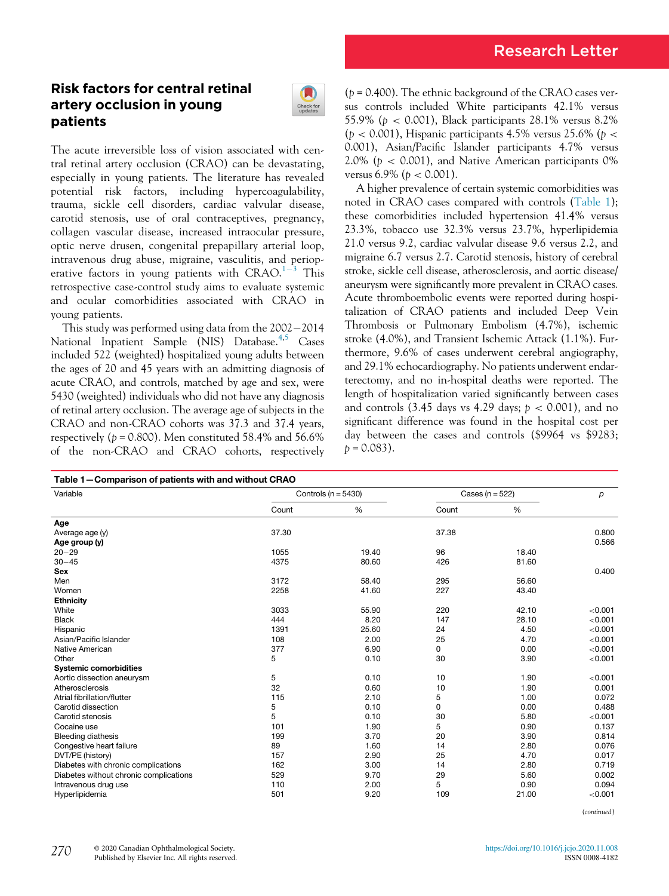# Research Letter

## Risk factors for central retinal artery occlusion in young patients



The acute irreversible loss of vision associated with central retinal artery occlusion (CRAO) can be devastating, especially in young patients. The literature has revealed potential risk factors, including hypercoagulability, trauma, sickle cell disorders, cardiac valvular disease, carotid stenosis, use of oral contraceptives, pregnancy, collagen vascular disease, increased intraocular pressure, optic nerve drusen, congenital prepapillary arterial loop, intravenous drug abuse, migraine, vasculitis, and perioperative factors in young patients with  $CRAO<sup>1-3</sup>$  $CRAO<sup>1-3</sup>$  $CRAO<sup>1-3</sup>$  $CRAO<sup>1-3</sup>$  $CRAO<sup>1-3</sup>$  This retrospective case-control study aims to evaluate systemic and ocular comorbidities associated with CRAO in young patients.

This study was performed using data from the  $2002 - 2014$ National Inpatient Sample (NIS) Database.<sup>[4](#page-2-1),[5](#page-2-2)</sup> Cases included 522 (weighted) hospitalized young adults between the ages of 20 and 45 years with an admitting diagnosis of acute CRAO, and controls, matched by age and sex, were 5430 (weighted) individuals who did not have any diagnosis of retinal artery occlusion. The average age of subjects in the CRAO and non-CRAO cohorts was 37.3 and 37.4 years, respectively ( $p = 0.800$ ). Men constituted 58.4% and 56.6% of the non-CRAO and CRAO cohorts, respectively

 $(p = 0.400)$ . The ethnic background of the CRAO cases versus controls included White participants 42.1% versus 55.9% (p < 0.001), Black participants 28.1% versus 8.2%  $(p < 0.001)$ , Hispanic participants 4.5% versus 25.6% (p < 0.001), Asian/Pacific Islander participants 4.7% versus 2.0% ( $p < 0.001$ ), and Native American participants 0% versus  $6.9\%$  ( $p < 0.001$ ).

A higher prevalence of certain systemic comorbidities was noted in CRAO cases compared with controls [\(Table 1](#page-0-0)); these comorbidities included hypertension 41.4% versus 23.3%, tobacco use 32.3% versus 23.7%, hyperlipidemia 21.0 versus 9.2, cardiac valvular disease 9.6 versus 2.2, and migraine 6.7 versus 2.7. Carotid stenosis, history of cerebral stroke, sickle cell disease, atherosclerosis, and aortic disease/ aneurysm were significantly more prevalent in CRAO cases. Acute thromboembolic events were reported during hospitalization of CRAO patients and included Deep Vein Thrombosis or Pulmonary Embolism (4.7%), ischemic stroke (4.0%), and Transient Ischemic Attack (1.1%). Furthermore, 9.6% of cases underwent cerebral angiography, and 29.1% echocardiography. No patients underwent endarterectomy, and no in-hospital deaths were reported. The length of hospitalization varied significantly between cases and controls (3.45 days vs 4.29 days;  $p < 0.001$ ), and no significant difference was found in the hospital cost per day between the cases and controls (\$9964 vs \$9283;  $p = 0.083$ ).

<span id="page-0-0"></span>

| Table 1-Comparison of patients with and without CRAO |                         |       |                     |       |         |  |
|------------------------------------------------------|-------------------------|-------|---------------------|-------|---------|--|
| Variable                                             | Controls ( $n = 5430$ ) |       | Cases ( $n = 522$ ) |       | p       |  |
|                                                      | Count                   | %     | Count               | %     |         |  |
| Age                                                  |                         |       |                     |       |         |  |
| Average age (y)                                      | 37.30                   |       | 37.38               |       | 0.800   |  |
| Age group (y)                                        |                         |       |                     |       | 0.566   |  |
| $20 - 29$                                            | 1055                    | 19.40 | 96                  | 18.40 |         |  |
| $30 - 45$                                            | 4375                    | 80.60 | 426                 | 81.60 |         |  |
| <b>Sex</b>                                           |                         |       |                     |       | 0.400   |  |
| Men                                                  | 3172                    | 58.40 | 295                 | 56.60 |         |  |
| Women                                                | 2258                    | 41.60 | 227                 | 43.40 |         |  |
| <b>Ethnicity</b>                                     |                         |       |                     |       |         |  |
| White                                                | 3033                    | 55.90 | 220                 | 42.10 | < 0.001 |  |
| <b>Black</b>                                         | 444                     | 8.20  | 147                 | 28.10 | < 0.001 |  |
| Hispanic                                             | 1391                    | 25.60 | 24                  | 4.50  | < 0.001 |  |
| Asian/Pacific Islander                               | 108                     | 2.00  | 25                  | 4.70  | < 0.001 |  |
| Native American                                      | 377                     | 6.90  | 0                   | 0.00  | < 0.001 |  |
| Other                                                | 5                       | 0.10  | 30                  | 3.90  | < 0.001 |  |
| <b>Systemic comorbidities</b>                        |                         |       |                     |       |         |  |
| Aortic dissection aneurysm                           | 5                       | 0.10  | 10                  | 1.90  | < 0.001 |  |
| Atherosclerosis                                      | 32                      | 0.60  | 10                  | 1.90  | 0.001   |  |
| Atrial fibrillation/flutter                          | 115                     | 2.10  | 5                   | 1.00  | 0.072   |  |
| Carotid dissection                                   | 5                       | 0.10  | 0                   | 0.00  | 0.488   |  |
| Carotid stenosis                                     | 5                       | 0.10  | 30                  | 5.80  | < 0.001 |  |
| Cocaine use                                          | 101                     | 1.90  | 5                   | 0.90  | 0.137   |  |
| <b>Bleeding diathesis</b>                            | 199                     | 3.70  | 20                  | 3.90  | 0.814   |  |
| Congestive heart failure                             | 89                      | 1.60  | 14                  | 2.80  | 0.076   |  |
| DVT/PE (history)                                     | 157                     | 2.90  | 25                  | 4.70  | 0.017   |  |
| Diabetes with chronic complications                  | 162                     | 3.00  | 14                  | 2.80  | 0.719   |  |
| Diabetes without chronic complications               | 529                     | 9.70  | 29                  | 5.60  | 0.002   |  |
| Intravenous drug use                                 | 110                     | 2.00  | 5                   | 0.90  | 0.094   |  |
| Hyperlipidemia                                       | 501                     | 9.20  | 109                 | 21.00 | < 0.001 |  |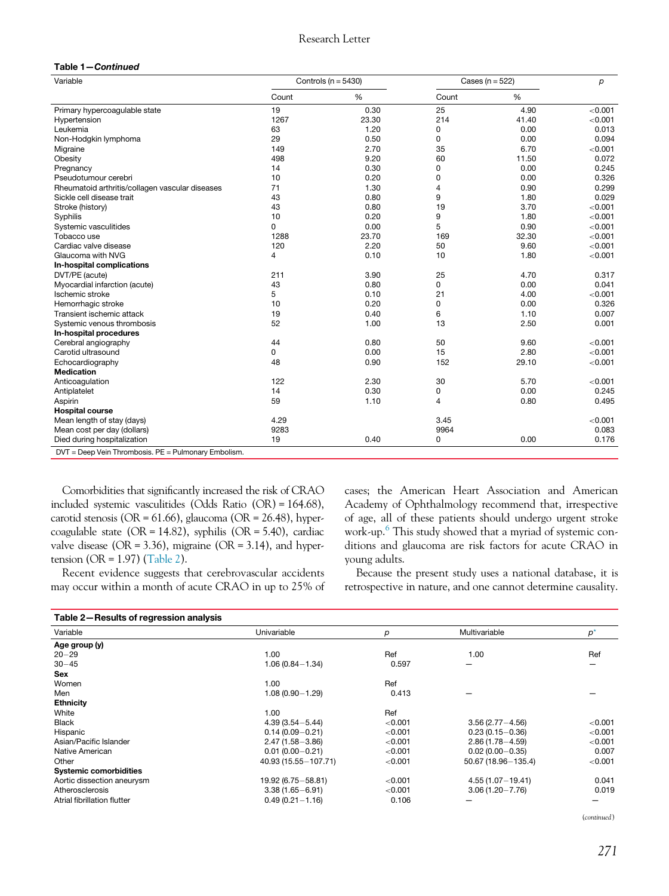#### Research Letter

#### Table 1—Continued

| Variable                                             | Controls ( $n = 5430$ ) |       | Cases ( $n = 522$ ) |       | р       |
|------------------------------------------------------|-------------------------|-------|---------------------|-------|---------|
|                                                      | Count                   | %     | Count               | $\%$  |         |
| Primary hypercoagulable state                        | 19                      | 0.30  | 25                  | 4.90  | < 0.001 |
| Hypertension                                         | 1267                    | 23.30 | 214                 | 41.40 | < 0.001 |
| Leukemia                                             | 63                      | 1.20  | 0                   | 0.00  | 0.013   |
| Non-Hodgkin lymphoma                                 | 29                      | 0.50  | 0                   | 0.00  | 0.094   |
| Migraine                                             | 149                     | 2.70  | 35                  | 6.70  | < 0.001 |
| Obesity                                              | 498                     | 9.20  | 60                  | 11.50 | 0.072   |
| Pregnancy                                            | 14                      | 0.30  | 0                   | 0.00  | 0.245   |
| Pseudotumour cerebri                                 | 10                      | 0.20  | 0                   | 0.00  | 0.326   |
| Rheumatoid arthritis/collagen vascular diseases      | 71                      | 1.30  | 4                   | 0.90  | 0.299   |
| Sickle cell disease trait                            | 43                      | 0.80  | 9                   | 1.80  | 0.029   |
| Stroke (history)                                     | 43                      | 0.80  | 19                  | 3.70  | < 0.001 |
| Syphilis                                             | 10                      | 0.20  | 9                   | 1.80  | < 0.001 |
| Systemic vasculitides                                | $\Omega$                | 0.00  | 5                   | 0.90  | < 0.001 |
| Tobacco use                                          | 1288                    | 23.70 | 169                 | 32.30 | < 0.001 |
| Cardiac valve disease                                | 120                     | 2.20  | 50                  | 9.60  | < 0.001 |
| Glaucoma with NVG                                    | 4                       | 0.10  | 10                  | 1.80  | < 0.001 |
| In-hospital complications                            |                         |       |                     |       |         |
| DVT/PE (acute)                                       | 211                     | 3.90  | 25                  | 4.70  | 0.317   |
| Myocardial infarction (acute)                        | 43                      | 0.80  | 0                   | 0.00  | 0.041   |
| Ischemic stroke                                      | 5                       | 0.10  | 21                  | 4.00  | < 0.001 |
| Hemorrhagic stroke                                   | 10                      | 0.20  | 0                   | 0.00  | 0.326   |
| Transient ischemic attack                            | 19                      | 0.40  | 6                   | 1.10  | 0.007   |
| Systemic venous thrombosis                           | 52                      | 1.00  | 13                  | 2.50  | 0.001   |
| In-hospital procedures                               |                         |       |                     |       |         |
| Cerebral angiography                                 | 44                      | 0.80  | 50                  | 9.60  | < 0.001 |
| Carotid ultrasound                                   | 0                       | 0.00  | 15                  | 2.80  | < 0.001 |
| Echocardiography                                     | 48                      | 0.90  | 152                 | 29.10 | < 0.001 |
| <b>Medication</b>                                    |                         |       |                     |       |         |
| Anticoagulation                                      | 122                     | 2.30  | 30                  | 5.70  | < 0.001 |
| Antiplatelet                                         | 14                      | 0.30  | 0                   | 0.00  | 0.245   |
| Aspirin                                              | 59                      | 1.10  | 4                   | 0.80  | 0.495   |
| <b>Hospital course</b>                               |                         |       |                     |       |         |
| Mean length of stay (days)                           | 4.29                    |       | 3.45                |       | < 0.001 |
| Mean cost per day (dollars)                          | 9283                    |       | 9964                |       | 0.083   |
| Died during hospitalization                          | 19                      | 0.40  | 0                   | 0.00  | 0.176   |
| DVT = Deep Vein Thrombosis. PE = Pulmonary Embolism. |                         |       |                     |       |         |

Comorbidities that significantly increased the risk of CRAO included systemic vasculitides (Odds Ratio (OR) = 164.68), carotid stenosis (OR =  $61.66$ ), glaucoma (OR =  $26.48$ ), hypercoagulable state ( $OR = 14.82$ ), syphilis ( $OR = 5.40$ ), cardiac valve disease ( $OR = 3.36$ ), migraine ( $OR = 3.14$ ), and hypertension (OR =  $1.97$ ) ([Table 2\)](#page-1-0).

Recent evidence suggests that cerebrovascular accidents may occur within a month of acute CRAO in up to 25% of cases; the American Heart Association and American Academy of Ophthalmology recommend that, irrespective of age, all of these patients should undergo urgent stroke work-up.[6](#page-2-3) This study showed that a myriad of systemic conditions and glaucoma are risk factors for acute CRAO in young adults.

Because the present study uses a national database, it is retrospective in nature, and one cannot determine causality.

<span id="page-1-0"></span>

| Table 2-Results of regression analysis |                        |         |                       |         |
|----------------------------------------|------------------------|---------|-----------------------|---------|
| Variable                               | Univariable            | р       | Multivariable         | $p^*$   |
| Age group (y)                          |                        |         |                       |         |
| $20 - 29$                              | 1.00                   | Ref     | 1.00                  | Ref     |
| $30 - 45$                              | $1.06(0.84 - 1.34)$    | 0.597   |                       |         |
| <b>Sex</b>                             |                        |         |                       |         |
| Women                                  | 1.00                   | Ref     |                       |         |
| Men                                    | $1.08(0.90 - 1.29)$    | 0.413   |                       |         |
| <b>Ethnicity</b>                       |                        |         |                       |         |
| White                                  | 1.00                   | Ref     |                       |         |
| <b>Black</b>                           | $4.39(3.54 - 5.44)$    | < 0.001 | $3.56(2.77 - 4.56)$   | < 0.001 |
| Hispanic                               | $0.14(0.09 - 0.21)$    | < 0.001 | $0.23(0.15 - 0.36)$   | < 0.001 |
| Asian/Pacific Islander                 | $2.47(1.58 - 3.86)$    | < 0.001 | $2.86(1.78 - 4.59)$   | < 0.001 |
| Native American                        | $0.01(0.00 - 0.21)$    | < 0.001 | $0.02(0.00 - 0.35)$   | 0.007   |
| Other                                  | 40.93 (15.55 - 107.71) | < 0.001 | 50.67 (18.96 - 135.4) | < 0.001 |
| <b>Systemic comorbidities</b>          |                        |         |                       |         |
| Aortic dissection aneurysm             | 19.92 (6.75 - 58.81)   | < 0.001 | $4.55(1.07 - 19.41)$  | 0.041   |
| Atherosclerosis                        | $3.38(1.65 - 6.91)$    | < 0.001 | $3.06(1.20 - 7.76)$   | 0.019   |
| Atrial fibrillation flutter            | $0.49(0.21 - 1.16)$    | 0.106   |                       |         |

(continued)